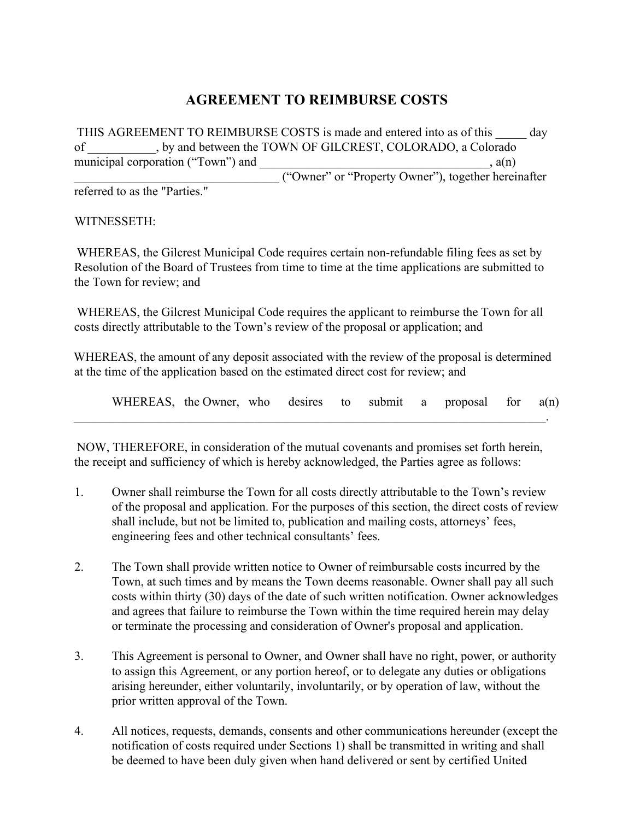## **AGREEMENT TO REIMBURSE COSTS**

THIS AGREEMENT TO REIMBURSE COSTS is made and entered into as of this day of  $\frac{1}{\text{minicipal corporation}}$ , by and between the TOWN OF GILCREST, COLORADO, a Colorado  $\frac{1}{a(n)}$  $m_1$  and  $m_2$ \_\_\_\_\_\_\_\_\_\_\_\_\_\_\_\_\_\_\_\_\_\_\_\_\_\_\_\_\_\_\_\_\_ ("Owner" or "Property Owner"), together hereinafter referred to as the "Parties."

WITNESSETH:

WHEREAS, the Gilcrest Municipal Code requires certain non-refundable filing fees as set by Resolution of the Board of Trustees from time to time at the time applications are submitted to the Town for review; and

WHEREAS, the Gilcrest Municipal Code requires the applicant to reimburse the Town for all costs directly attributable to the Town's review of the proposal or application; and

WHEREAS, the amount of any deposit associated with the review of the proposal is determined at the time of the application based on the estimated direct cost for review; and

WHEREAS, the Owner, who desires to submit a proposal for a(n)

NOW, THEREFORE, in consideration of the mutual covenants and promises set forth herein, the receipt and sufficiency of which is hereby acknowledged, the Parties agree as follows:

 $\mathcal{L}_\mathcal{L} = \mathcal{L}_\mathcal{L} = \mathcal{L}_\mathcal{L} = \mathcal{L}_\mathcal{L} = \mathcal{L}_\mathcal{L} = \mathcal{L}_\mathcal{L} = \mathcal{L}_\mathcal{L} = \mathcal{L}_\mathcal{L} = \mathcal{L}_\mathcal{L} = \mathcal{L}_\mathcal{L} = \mathcal{L}_\mathcal{L} = \mathcal{L}_\mathcal{L} = \mathcal{L}_\mathcal{L} = \mathcal{L}_\mathcal{L} = \mathcal{L}_\mathcal{L} = \mathcal{L}_\mathcal{L} = \mathcal{L}_\mathcal{L}$ 

- 1. Owner shall reimburse the Town for all costs directly attributable to the Town's review of the proposal and application. For the purposes of this section, the direct costs of review shall include, but not be limited to, publication and mailing costs, attorneys' fees, engineering fees and other technical consultants' fees.
- 2. The Town shall provide written notice to Owner of reimbursable costs incurred by the Town, at such times and by means the Town deems reasonable. Owner shall pay all such costs within thirty (30) days of the date of such written notification. Owner acknowledges and agrees that failure to reimburse the Town within the time required herein may delay or terminate the processing and consideration of Owner's proposal and application.
- 3. This Agreement is personal to Owner, and Owner shall have no right, power, or authority to assign this Agreement, or any portion hereof, or to delegate any duties or obligations arising hereunder, either voluntarily, involuntarily, or by operation of law, without the prior written approval of the Town.
- 4. All notices, requests, demands, consents and other communications hereunder (except the notification of costs required under Sections 1) shall be transmitted in writing and shall be deemed to have been duly given when hand delivered or sent by certified United